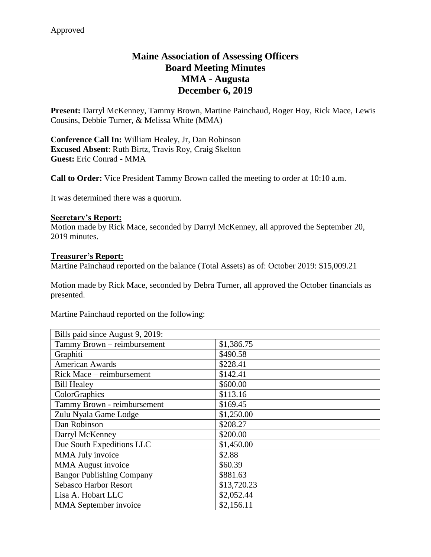# **Maine Association of Assessing Officers Board Meeting Minutes MMA - Augusta December 6, 2019**

**Present:** Darryl McKenney, Tammy Brown, Martine Painchaud, Roger Hoy, Rick Mace, Lewis Cousins, Debbie Turner, & Melissa White (MMA)

**Conference Call In:** William Healey, Jr, Dan Robinson **Excused Absent**: Ruth Birtz, Travis Roy, Craig Skelton **Guest:** Eric Conrad - MMA

**Call to Order:** Vice President Tammy Brown called the meeting to order at 10:10 a.m.

It was determined there was a quorum.

#### **Secretary's Report:**

Motion made by Rick Mace, seconded by Darryl McKenney, all approved the September 20, 2019 minutes.

#### **Treasurer's Report:**

Martine Painchaud reported on the balance (Total Assets) as of: October 2019: \$15,009.21

Motion made by Rick Mace, seconded by Debra Turner, all approved the October financials as presented.

Martine Painchaud reported on the following:

| Bills paid since August 9, 2019: |             |
|----------------------------------|-------------|
| Tammy Brown - reimbursement      | \$1,386.75  |
| Graphiti                         | \$490.58    |
| <b>American Awards</b>           | \$228.41    |
| Rick Mace - reimbursement        | \$142.41    |
| <b>Bill Healey</b>               | \$600.00    |
| ColorGraphics                    | \$113.16    |
| Tammy Brown - reimbursement      | \$169.45    |
| Zulu Nyala Game Lodge            | \$1,250.00  |
| Dan Robinson                     | \$208.27    |
| Darryl McKenney                  | \$200.00    |
| Due South Expeditions LLC        | \$1,450.00  |
| MMA July invoice                 | \$2.88      |
| <b>MMA</b> August invoice        | \$60.39     |
| <b>Bangor Publishing Company</b> | \$881.63    |
| <b>Sebasco Harbor Resort</b>     | \$13,720.23 |
| Lisa A. Hobart LLC               | \$2,052.44  |
| MMA September invoice            | \$2,156.11  |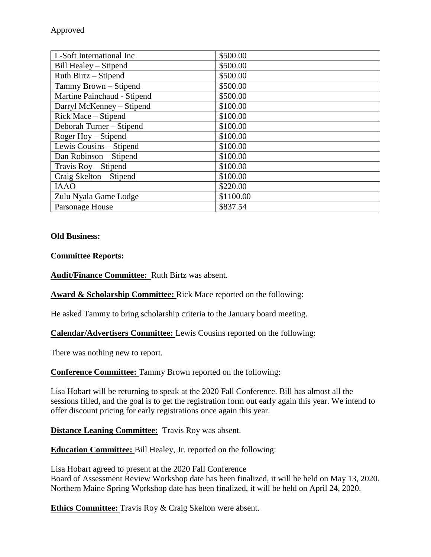| L-Soft International Inc    | \$500.00  |
|-----------------------------|-----------|
| Bill Healey – Stipend       | \$500.00  |
| Ruth Birtz – Stipend        | \$500.00  |
| Tammy Brown – Stipend       | \$500.00  |
| Martine Painchaud - Stipend | \$500.00  |
| Darryl McKenney - Stipend   | \$100.00  |
| Rick Mace – Stipend         | \$100.00  |
| Deborah Turner – Stipend    | \$100.00  |
| Roger Hoy - Stipend         | \$100.00  |
| Lewis Cousins – Stipend     | \$100.00  |
| Dan Robinson – Stipend      | \$100.00  |
| Travis Roy - Stipend        | \$100.00  |
| Craig Skelton – Stipend     | \$100.00  |
| <b>IAAO</b>                 | \$220.00  |
| Zulu Nyala Game Lodge       | \$1100.00 |
| Parsonage House             | \$837.54  |

### **Old Business:**

**Committee Reports:**

**Audit/Finance Committee:** Ruth Birtz was absent.

**Award & Scholarship Committee:** Rick Mace reported on the following:

He asked Tammy to bring scholarship criteria to the January board meeting.

**Calendar/Advertisers Committee:** Lewis Cousins reported on the following:

There was nothing new to report.

**Conference Committee:** Tammy Brown reported on the following:

Lisa Hobart will be returning to speak at the 2020 Fall Conference. Bill has almost all the sessions filled, and the goal is to get the registration form out early again this year. We intend to offer discount pricing for early registrations once again this year.

**Distance Leaning Committee:** Travis Roy was absent.

**Education Committee:** Bill Healey, Jr. reported on the following:

Lisa Hobart agreed to present at the 2020 Fall Conference Board of Assessment Review Workshop date has been finalized, it will be held on May 13, 2020. Northern Maine Spring Workshop date has been finalized, it will be held on April 24, 2020.

**Ethics Committee:** Travis Roy & Craig Skelton were absent.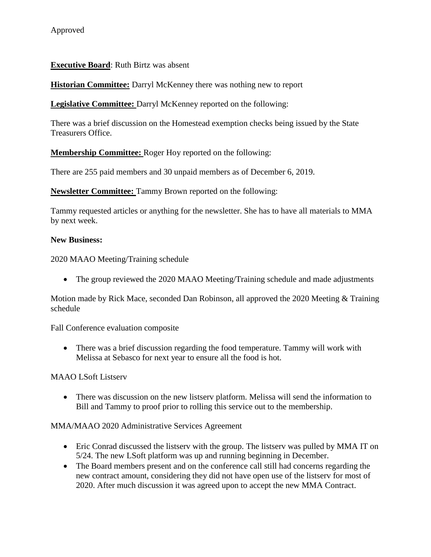# **Executive Board**: Ruth Birtz was absent

**Historian Committee:** Darryl McKenney there was nothing new to report

**Legislative Committee:** Darryl McKenney reported on the following:

There was a brief discussion on the Homestead exemption checks being issued by the State Treasurers Office.

**Membership Committee:** Roger Hoy reported on the following:

There are 255 paid members and 30 unpaid members as of December 6, 2019.

**Newsletter Committee:** Tammy Brown reported on the following:

Tammy requested articles or anything for the newsletter. She has to have all materials to MMA by next week.

### **New Business:**

2020 MAAO Meeting/Training schedule

• The group reviewed the 2020 MAAO Meeting/Training schedule and made adjustments

Motion made by Rick Mace, seconded Dan Robinson, all approved the 2020 Meeting & Training schedule

Fall Conference evaluation composite

• There was a brief discussion regarding the food temperature. Tammy will work with Melissa at Sebasco for next year to ensure all the food is hot.

### MAAO LSoft Listserv

• There was discussion on the new listserv platform. Melissa will send the information to Bill and Tammy to proof prior to rolling this service out to the membership.

### MMA/MAAO 2020 Administrative Services Agreement

- Eric Conrad discussed the listserv with the group. The listserv was pulled by MMA IT on 5/24. The new LSoft platform was up and running beginning in December.
- The Board members present and on the conference call still had concerns regarding the new contract amount, considering they did not have open use of the listserv for most of 2020. After much discussion it was agreed upon to accept the new MMA Contract.